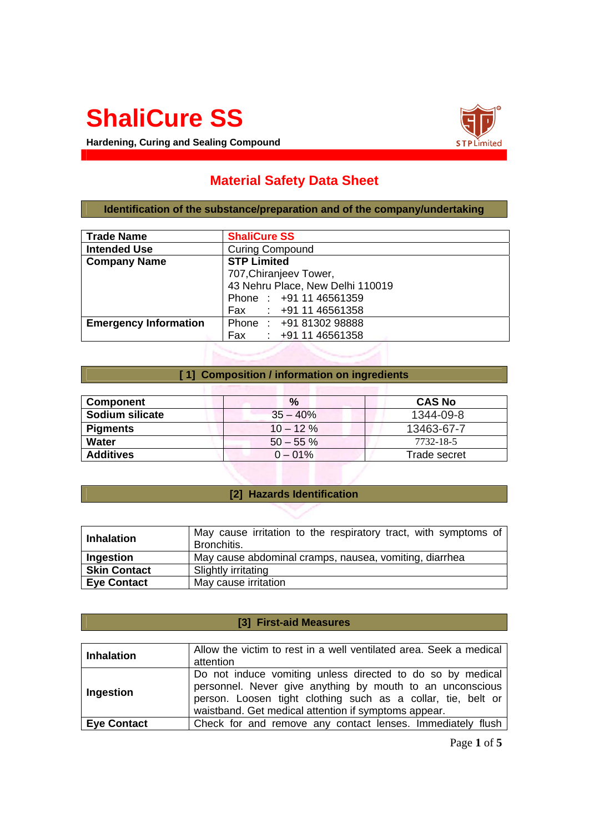# **ShaliCure SS**

**Hardening, Curing and Sealing Compound**



# **Material Safety Data Sheet**

**Identification of the substance/preparation and of the company/undertaking** 

| <b>Trade Name</b>            | <b>ShaliCure SS</b>              |  |
|------------------------------|----------------------------------|--|
| <b>Intended Use</b>          | <b>Curing Compound</b>           |  |
| <b>Company Name</b>          | <b>STP Limited</b>               |  |
|                              | 707, Chiranjeev Tower,           |  |
|                              | 43 Nehru Place, New Delhi 110019 |  |
|                              | Phone: +91 11 46561359           |  |
|                              | Fax : +91 11 46561358            |  |
| <b>Emergency Information</b> | Phone: +91 81302 98888           |  |
|                              | Fax : +91 11 46561358            |  |

#### **[ 1] Composition / information on ingredients**

| Component        | $\%$                      | <b>CAS No</b> |
|------------------|---------------------------|---------------|
| Sodium silicate  | $35 - 40%$                | 1344-09-8     |
| <b>Pigments</b>  | $10 - 12 \%$              | 13463-67-7    |
| Water            | $50 - 55 \%$<br>7732-18-5 |               |
| <b>Additives</b> | $0 - 01\%$                | Trade secret  |

## **[2] Hazards Identification**

| <b>Inhalation</b>   | May cause irritation to the respiratory tract, with symptoms of<br>Bronchitis. |
|---------------------|--------------------------------------------------------------------------------|
| Ingestion           | May cause abdominal cramps, nausea, vomiting, diarrhea                         |
| <b>Skin Contact</b> | Slightly irritating                                                            |
| <b>Eve Contact</b>  | May cause irritation                                                           |

#### **[3] First-aid Measures**

| <b>Inhalation</b>  | Allow the victim to rest in a well ventilated area. Seek a medical<br>attention                                                                                                                                                                 |
|--------------------|-------------------------------------------------------------------------------------------------------------------------------------------------------------------------------------------------------------------------------------------------|
| Ingestion          | Do not induce vomiting unless directed to do so by medical<br>personnel. Never give anything by mouth to an unconscious<br>person. Loosen tight clothing such as a collar, tie, belt or<br>waistband. Get medical attention if symptoms appear. |
| <b>Eye Contact</b> | Check for and remove any contact lenses. Immediately flush                                                                                                                                                                                      |

Page **1** of **5**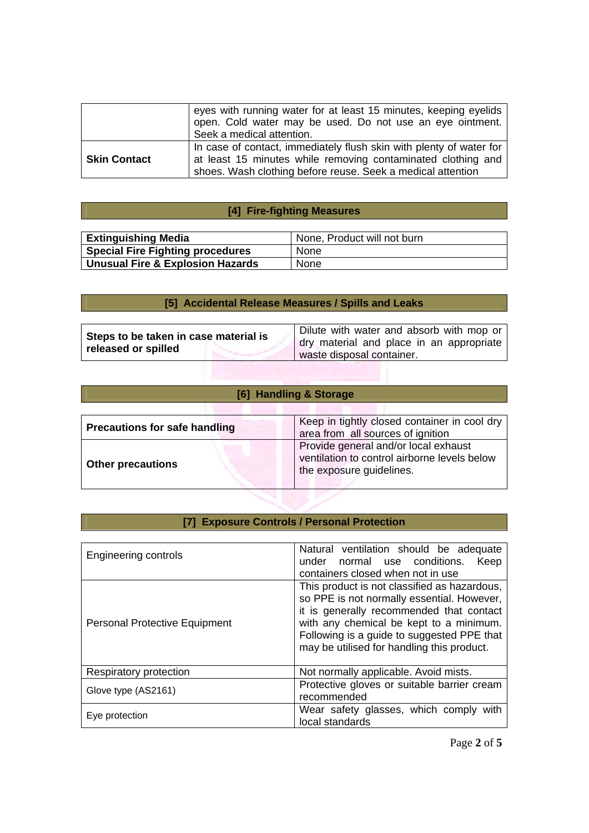|                     | eyes with running water for at least 15 minutes, keeping eyelids<br>open. Cold water may be used. Do not use an eye ointment.<br>Seek a medical attention.                                         |
|---------------------|----------------------------------------------------------------------------------------------------------------------------------------------------------------------------------------------------|
| <b>Skin Contact</b> | In case of contact, immediately flush skin with plenty of water for<br>at least 15 minutes while removing contaminated clothing and<br>shoes. Wash clothing before reuse. Seek a medical attention |

## **[4] Fire-fighting Measures**

| <b>Extinguishing Media</b>              | None, Product will not burn |
|-----------------------------------------|-----------------------------|
| <b>Special Fire Fighting procedures</b> | <b>None</b>                 |
| Unusual Fire & Explosion Hazards        | None                        |

# **[5] Accidental Release Measures / Spills and Leaks**

| Steps to be taken in case material is<br>released or spilled | Dilute with water and absorb with mop or<br>dry material and place in an appropriate |
|--------------------------------------------------------------|--------------------------------------------------------------------------------------|
|                                                              | waste disposal container.                                                            |

## **[6] Handling & Storage**

| <b>Precautions for safe handling</b> | Keep in tightly closed container in cool dry<br>area from all sources of ignition                                |
|--------------------------------------|------------------------------------------------------------------------------------------------------------------|
| <b>Other precautions</b>             | Provide general and/or local exhaust<br>ventilation to control airborne levels below<br>the exposure guidelines. |

## **[7] Exposure Controls / Personal Protection**

| <b>Engineering controls</b>          | Natural ventilation should be adequate<br>under normal use conditions.<br>Keep<br>containers closed when not in use                                                                                                                                                           |
|--------------------------------------|-------------------------------------------------------------------------------------------------------------------------------------------------------------------------------------------------------------------------------------------------------------------------------|
| <b>Personal Protective Equipment</b> | This product is not classified as hazardous,<br>so PPE is not normally essential. However,<br>it is generally recommended that contact<br>with any chemical be kept to a minimum.<br>Following is a guide to suggested PPE that<br>may be utilised for handling this product. |
| Respiratory protection               | Not normally applicable. Avoid mists.                                                                                                                                                                                                                                         |
| Glove type (AS2161)                  | Protective gloves or suitable barrier cream<br>recommended                                                                                                                                                                                                                    |
| Eye protection                       | Wear safety glasses, which comply with<br>local standards                                                                                                                                                                                                                     |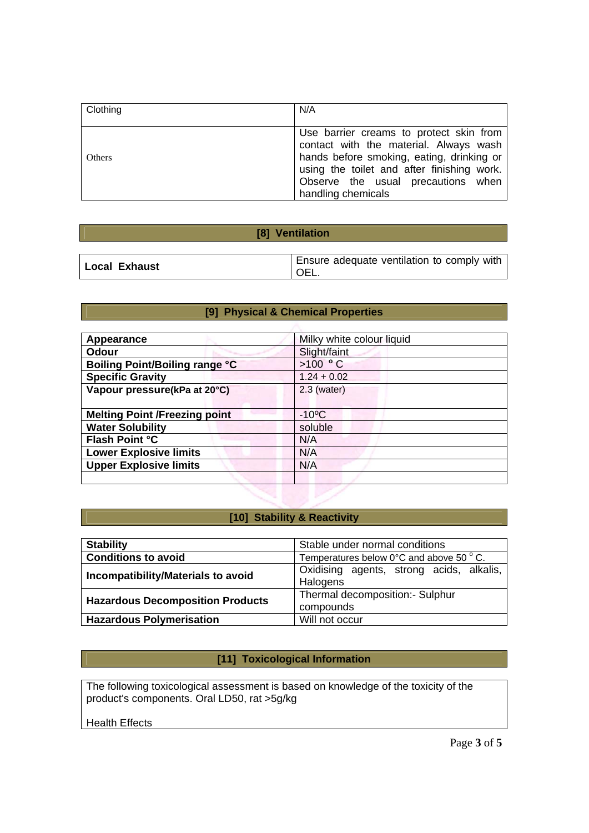| Clothing | N/A                                                                                                                                                                                                                                      |
|----------|------------------------------------------------------------------------------------------------------------------------------------------------------------------------------------------------------------------------------------------|
| Others   | Use barrier creams to protect skin from<br>contact with the material. Always wash<br>hands before smoking, eating, drinking or<br>using the toilet and after finishing work.<br>Observe the usual precautions when<br>handling chemicals |

#### **[8] Ventilation**

## **[9] Physical & Chemical Properties**

| Appearance                            | Milky white colour liquid |
|---------------------------------------|---------------------------|
| Odour                                 | Slight/faint              |
| <b>Boiling Point/Boiling range °C</b> | $>100$ ° C                |
| <b>Specific Gravity</b>               | $1.24 + 0.02$             |
| Vapour pressure(kPa at 20°C)          | $2.3$ (water)             |
|                                       |                           |
| <b>Melting Point /Freezing point</b>  | $-10^{\circ}$ C           |
| <b>Water Solubility</b>               | soluble                   |
| <b>Flash Point °C</b>                 | N/A                       |
| <b>Lower Explosive limits</b>         | N/A                       |
| <b>Upper Explosive limits</b>         | N/A                       |
|                                       |                           |

## **[10] Stability & Reactivity**

| <b>Stability</b>                        | Stable under normal conditions                              |
|-----------------------------------------|-------------------------------------------------------------|
| <b>Conditions to avoid</b>              | Temperatures below $0^{\circ}$ C and above 50 $^{\circ}$ C. |
| Incompatibility/Materials to avoid      | Oxidising agents, strong acids, alkalis,<br>Halogens        |
| <b>Hazardous Decomposition Products</b> | Thermal decomposition:- Sulphur<br>compounds                |
| <b>Hazardous Polymerisation</b>         | Will not occur                                              |

## **[11] Toxicological Information**

The following toxicological assessment is based on knowledge of the toxicity of the product's components. Oral LD50, rat >5g/kg

#### Health Effects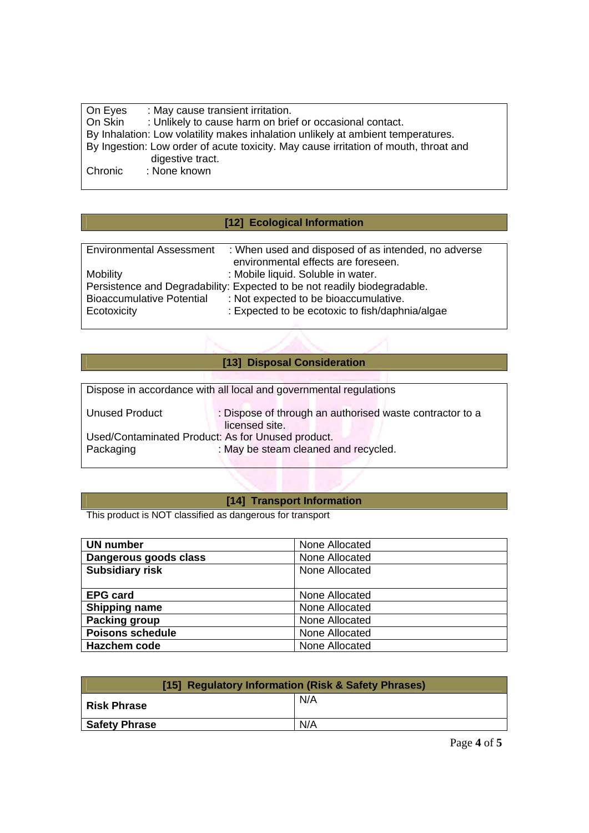| On Eyes | : May cause transient irritation.                                                    |
|---------|--------------------------------------------------------------------------------------|
| On Skin | : Unlikely to cause harm on brief or occasional contact.                             |
|         | By Inhalation: Low volatility makes inhalation unlikely at ambient temperatures.     |
|         | By Ingestion: Low order of acute toxicity. May cause irritation of mouth, throat and |
|         | digestive tract.                                                                     |
| Chronic | : None known                                                                         |
|         |                                                                                      |

# **[12] Ecological Information**

| <b>Environmental Assessment</b>                                          | : When used and disposed of as intended, no adverse |
|--------------------------------------------------------------------------|-----------------------------------------------------|
|                                                                          | environmental effects are foreseen.                 |
| <b>Mobility</b>                                                          | : Mobile liquid. Soluble in water.                  |
| Persistence and Degradability: Expected to be not readily biodegradable. |                                                     |
| <b>Bioaccumulative Potential</b>                                         | : Not expected to be bioaccumulative.               |
| Ecotoxicity                                                              | : Expected to be ecotoxic to fish/daphnia/algae     |
|                                                                          |                                                     |

# **[13] Disposal Consideration**

| Dispose in accordance with all local and governmental regulations |                                                                            |
|-------------------------------------------------------------------|----------------------------------------------------------------------------|
| Unused Product                                                    | : Dispose of through an authorised waste contractor to a<br>licensed site. |
| Used/Contaminated Product: As for Unused product.                 |                                                                            |
| Packaging                                                         | : May be steam cleaned and recycled.                                       |
|                                                                   |                                                                            |

## **[14] Transport Information**

This product is NOT classified as dangerous for transport

| <b>UN number</b>        | None Allocated |
|-------------------------|----------------|
| Dangerous goods class   | None Allocated |
| <b>Subsidiary risk</b>  | None Allocated |
|                         |                |
| <b>EPG card</b>         | None Allocated |
| <b>Shipping name</b>    | None Allocated |
| Packing group           | None Allocated |
| <b>Poisons schedule</b> | None Allocated |
| Hazchem code            | None Allocated |

| [15] Regulatory Information (Risk & Safety Phrases) |     |  |
|-----------------------------------------------------|-----|--|
| <b>Risk Phrase</b>                                  | N/A |  |
| <b>Safety Phrase</b>                                | N/A |  |